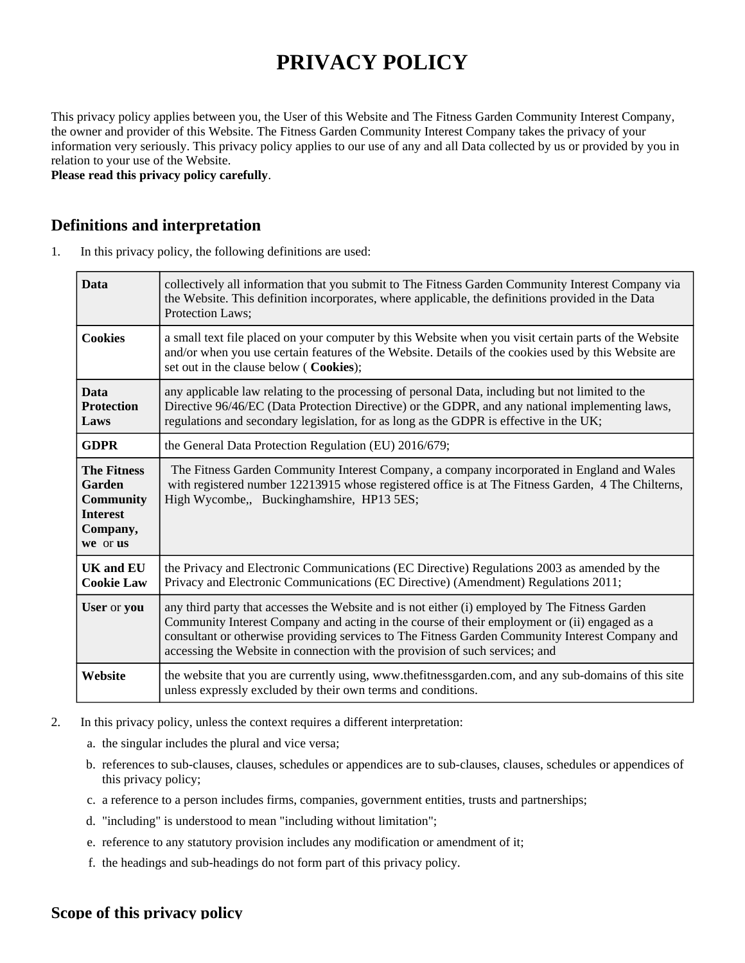# **PRIVACY POLICY**

This privacy policy applies between you, the User of this Website and The Fitness Garden Community Interest Company, the owner and provider of this Website. The Fitness Garden Community Interest Company takes the privacy of your information very seriously. This privacy policy applies to our use of any and all Data collected by us or provided by you in relation to your use of the Website.

**Please read this privacy policy carefully**.

#### **Definitions and interpretation**

1. In this privacy policy, the following definitions are used:

| <b>Data</b>                                                                                 | collectively all information that you submit to The Fitness Garden Community Interest Company via<br>the Website. This definition incorporates, where applicable, the definitions provided in the Data<br>Protection Laws;                                                                                                                                                        |
|---------------------------------------------------------------------------------------------|-----------------------------------------------------------------------------------------------------------------------------------------------------------------------------------------------------------------------------------------------------------------------------------------------------------------------------------------------------------------------------------|
| <b>Cookies</b>                                                                              | a small text file placed on your computer by this Website when you visit certain parts of the Website<br>and/or when you use certain features of the Website. Details of the cookies used by this Website are<br>set out in the clause below (Cookies);                                                                                                                           |
| <b>Data</b><br><b>Protection</b><br>Laws                                                    | any applicable law relating to the processing of personal Data, including but not limited to the<br>Directive 96/46/EC (Data Protection Directive) or the GDPR, and any national implementing laws,<br>regulations and secondary legislation, for as long as the GDPR is effective in the UK;                                                                                     |
| <b>GDPR</b>                                                                                 | the General Data Protection Regulation (EU) 2016/679;                                                                                                                                                                                                                                                                                                                             |
| <b>The Fitness</b><br>Garden<br><b>Community</b><br><b>Interest</b><br>Company,<br>we or us | The Fitness Garden Community Interest Company, a company incorporated in England and Wales<br>with registered number 12213915 whose registered office is at The Fitness Garden, 4 The Chilterns,<br>High Wycombe,, Buckinghamshire, HP13 5ES;                                                                                                                                     |
| <b>UK and EU</b><br><b>Cookie Law</b>                                                       | the Privacy and Electronic Communications (EC Directive) Regulations 2003 as amended by the<br>Privacy and Electronic Communications (EC Directive) (Amendment) Regulations 2011;                                                                                                                                                                                                 |
| User or you                                                                                 | any third party that accesses the Website and is not either (i) employed by The Fitness Garden<br>Community Interest Company and acting in the course of their employment or (ii) engaged as a<br>consultant or otherwise providing services to The Fitness Garden Community Interest Company and<br>accessing the Website in connection with the provision of such services; and |
| Website                                                                                     | the website that you are currently using, www.thefitnessgarden.com, and any sub-domains of this site<br>unless expressly excluded by their own terms and conditions.                                                                                                                                                                                                              |

- 2. In this privacy policy, unless the context requires a different interpretation:
	- a. the singular includes the plural and vice versa;
	- b. references to sub-clauses, clauses, schedules or appendices are to sub-clauses, clauses, schedules or appendices of this privacy policy;
	- c. a reference to a person includes firms, companies, government entities, trusts and partnerships;
	- d. "including" is understood to mean "including without limitation";
	- e. reference to any statutory provision includes any modification or amendment of it;
	- f. the headings and sub-headings do not form part of this privacy policy.

#### **Scope of this privacy policy**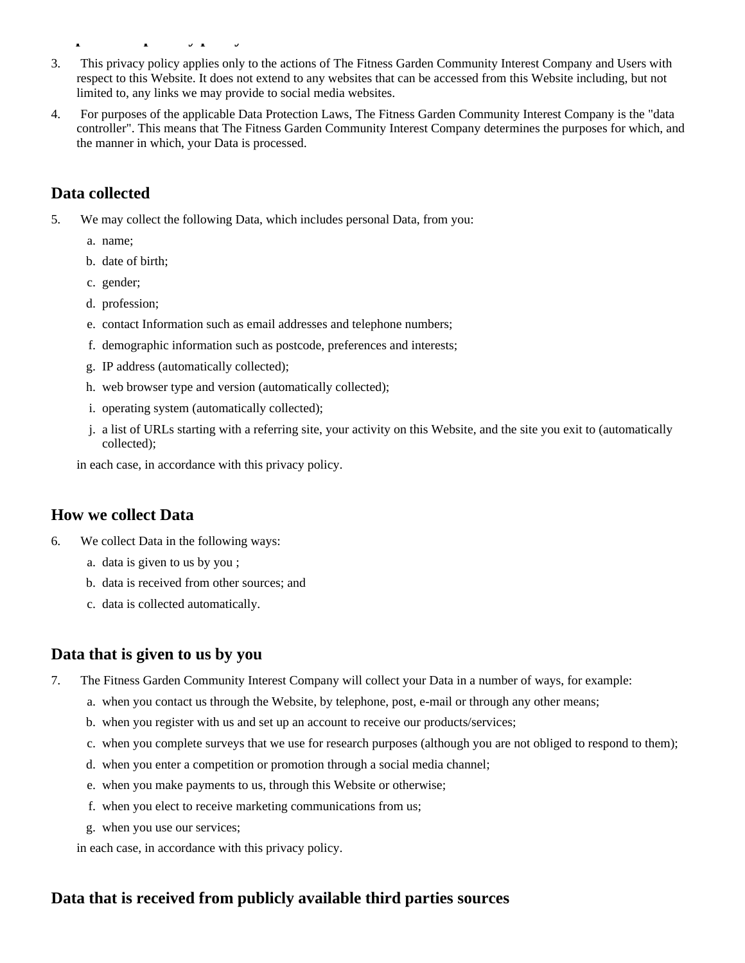- 3. This privacy policy applies only to the actions of The Fitness Garden Community Interest Company and Users with respect to this Website. It does not extend to any websites that can be accessed from this Website including, but not limited to, any links we may provide to social media websites.
- 4. For purposes of the applicable Data Protection Laws, The Fitness Garden Community Interest Company is the "data controller". This means that The Fitness Garden Community Interest Company determines the purposes for which, and the manner in which, your Data is processed.

# **Data collected**

- 5. We may collect the following Data, which includes personal Data, from you:
	- a. name;
	- b. date of birth;

**Scope of this privacy policy policy policy policy policy policy policy policy policy policy policy policy poli** 

- c. gender;
- d. profession;
- e. contact Information such as email addresses and telephone numbers;
- f. demographic information such as postcode, preferences and interests;
- g. IP address (automatically collected);
- h. web browser type and version (automatically collected);
- i. operating system (automatically collected);
- j. a list of URLs starting with a referring site, your activity on this Website, and the site you exit to (automatically collected);
- in each case, in accordance with this privacy policy.

## **How we collect Data**

- 6. We collect Data in the following ways:
	- a. data is given to us by you ;
	- b. data is received from other sources; and
	- c. data is collected automatically.

# **Data that is given to us by you**

- 7. The Fitness Garden Community Interest Company will collect your Data in a number of ways, for example:
	- a. when you contact us through the Website, by telephone, post, e-mail or through any other means;
	- b. when you register with us and set up an account to receive our products/services;
	- c. when you complete surveys that we use for research purposes (although you are not obliged to respond to them);
	- d. when you enter a competition or promotion through a social media channel;
	- e. when you make payments to us, through this Website or otherwise;
	- f. when you elect to receive marketing communications from us;
	- g. when you use our services;

in each case, in accordance with this privacy policy.

# **Data that is received from publicly available third parties sources**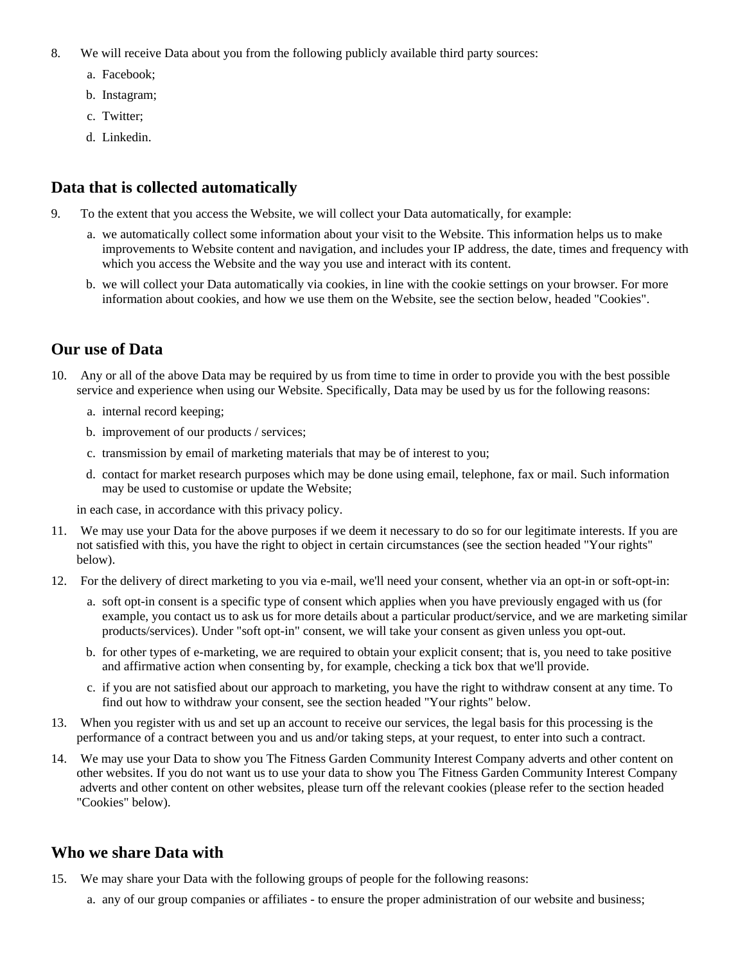- 8. We will receive Data about you from the following publicly available third party sources:
	- a. Facebook;
	- b. Instagram;
	- c. Twitter;
	- d. Linkedin.

#### **Data that is collected automatically**

- 9. To the extent that you access the Website, we will collect your Data automatically, for example:
	- a. we automatically collect some information about your visit to the Website. This information helps us to make improvements to Website content and navigation, and includes your IP address, the date, times and frequency with which you access the Website and the way you use and interact with its content.
	- b. we will collect your Data automatically via cookies, in line with the cookie settings on your browser. For more information about cookies, and how we use them on the Website, see the section below, headed "Cookies".

#### **Our use of Data**

- 10. Any or all of the above Data may be required by us from time to time in order to provide you with the best possible service and experience when using our Website. Specifically, Data may be used by us for the following reasons:
	- a. internal record keeping;
	- b. improvement of our products / services;
	- c. transmission by email of marketing materials that may be of interest to you;
	- d. contact for market research purposes which may be done using email, telephone, fax or mail. Such information may be used to customise or update the Website;

in each case, in accordance with this privacy policy.

- 11. We may use your Data for the above purposes if we deem it necessary to do so for our legitimate interests. If you are not satisfied with this, you have the right to object in certain circumstances (see the section headed "Your rights" below).
- 12. For the delivery of direct marketing to you via e-mail, we'll need your consent, whether via an opt-in or soft-opt-in:
	- a. soft opt-in consent is a specific type of consent which applies when you have previously engaged with us (for example, you contact us to ask us for more details about a particular product/service, and we are marketing similar products/services). Under "soft opt-in" consent, we will take your consent as given unless you opt-out.
	- b. for other types of e-marketing, we are required to obtain your explicit consent; that is, you need to take positive and affirmative action when consenting by, for example, checking a tick box that we'll provide.
	- c. if you are not satisfied about our approach to marketing, you have the right to withdraw consent at any time. To find out how to withdraw your consent, see the section headed "Your rights" below.
- 13. When you register with us and set up an account to receive our services, the legal basis for this processing is the performance of a contract between you and us and/or taking steps, at your request, to enter into such a contract.
- 14. We may use your Data to show you The Fitness Garden Community Interest Company adverts and other content on other websites. If you do not want us to use your data to show you The Fitness Garden Community Interest Company adverts and other content on other websites, please turn off the relevant cookies (please refer to the section headed "Cookies" below).

#### **Who we share Data with**

- 15. We may share your Data with the following groups of people for the following reasons:
	- a. any of our group companies or affiliates to ensure the proper administration of our website and business;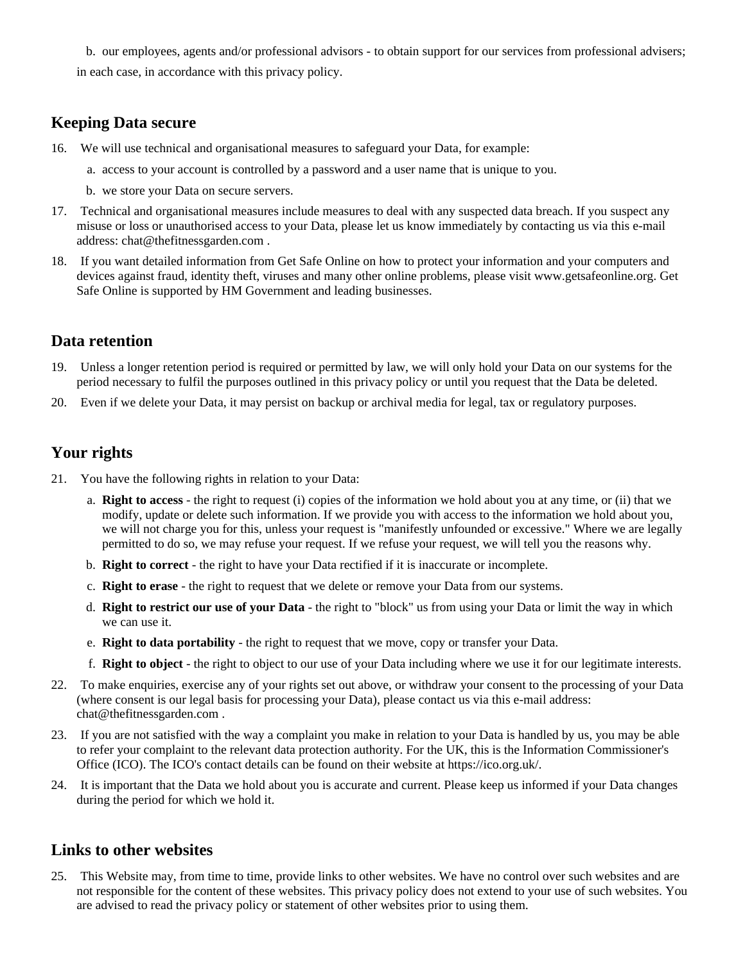b. our employees, agents and/or professional advisors - to obtain support for our services from professional advisers; in each case, in accordance with this privacy policy.

#### **Keeping Data secure**

- 16. We will use technical and organisational measures to safeguard your Data, for example:
	- a. access to your account is controlled by a password and a user name that is unique to you.
	- b. we store your Data on secure servers.
- 17. Technical and organisational measures include measures to deal with any suspected data breach. If you suspect any misuse or loss or unauthorised access to your Data, please let us know immediately by contacting us via this e-mail address: chat@thefitnessgarden.com.
- 18. If you want detailed information from Get Safe Online on how to protect your information and your computers and devices against fraud, identity theft, viruses and many other online problems, please visit www.getsafeonline.org. Get Safe Online is supported by HM Government and leading businesses.

#### **Data retention**

- 19. Unless a longer retention period is required or permitted by law, we will only hold your Data on our systems for the period necessary to fulfil the purposes outlined in this privacy policy or until you request that the Data be deleted.
- 20. Even if we delete your Data, it may persist on backup or archival media for legal, tax or regulatory purposes.

## **Your rights**

- 21. You have the following rights in relation to your Data:
	- a. **Right to access** the right to request (i) copies of the information we hold about you at any time, or (ii) that we modify, update or delete such information. If we provide you with access to the information we hold about you, we will not charge you for this, unless your request is "manifestly unfounded or excessive." Where we are legally permitted to do so, we may refuse your request. If we refuse your request, we will tell you the reasons why.
	- b. **Right to correct** the right to have your Data rectified if it is inaccurate or incomplete.
	- c. **Right to erase** the right to request that we delete or remove your Data from our systems.
	- d. **Right to restrict our use of your Data** the right to "block" us from using your Data or limit the way in which we can use it.
	- e. **Right to data portability** the right to request that we move, copy or transfer your Data.
	- f. **Right to object** the right to object to our use of your Data including where we use it for our legitimate interests.
- 22. To make enquiries, exercise any of your rights set out above, or withdraw your consent to the processing of your Data (where consent is our legal basis for processing your Data), please contact us via this e-mail address: chat@thefitnessgarden.com .
- 23. If you are not satisfied with the way a complaint you make in relation to your Data is handled by us, you may be able to refer your complaint to the relevant data protection authority. For the UK, this is the Information Commissioner's Office (ICO). The ICO's contact details can be found on their website at https://ico.org.uk/.
- 24. It is important that the Data we hold about you is accurate and current. Please keep us informed if your Data changes during the period for which we hold it.

#### **Links to other websites**

25. This Website may, from time to time, provide links to other websites. We have no control over such websites and are not responsible for the content of these websites. This privacy policy does not extend to your use of such websites. You are advised to read the privacy policy or statement of other websites prior to using them.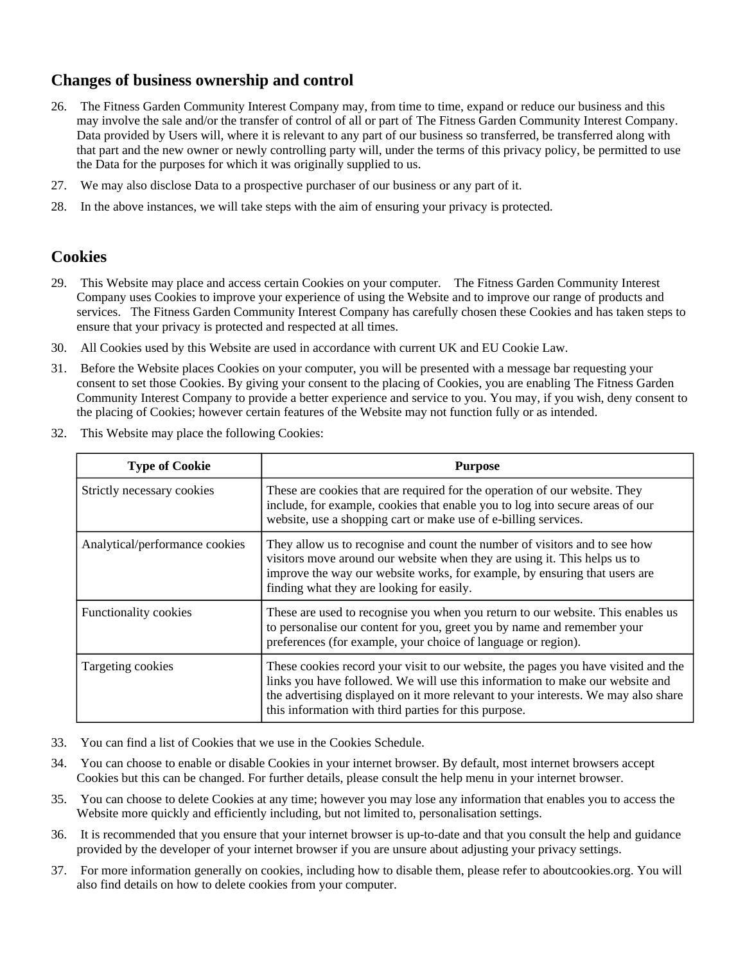## **Changes of business ownership and control**

- 26. The Fitness Garden Community Interest Company may, from time to time, expand or reduce our business and this may involve the sale and/or the transfer of control of all or part of The Fitness Garden Community Interest Company. Data provided by Users will, where it is relevant to any part of our business so transferred, be transferred along with that part and the new owner or newly controlling party will, under the terms of this privacy policy, be permitted to use the Data for the purposes for which it was originally supplied to us.
- 27. We may also disclose Data to a prospective purchaser of our business or any part of it.
- 28. In the above instances, we will take steps with the aim of ensuring your privacy is protected.

#### **Cookies**

- 29. This Website may place and access certain Cookies on your computer. The Fitness Garden Community Interest Company uses Cookies to improve your experience of using the Website and to improve our range of products and services. The Fitness Garden Community Interest Company has carefully chosen these Cookies and has taken steps to ensure that your privacy is protected and respected at all times.
- 30. All Cookies used by this Website are used in accordance with current UK and EU Cookie Law.
- 31. Before the Website places Cookies on your computer, you will be presented with a message bar requesting your consent to set those Cookies. By giving your consent to the placing of Cookies, you are enabling The Fitness Garden Community Interest Company to provide a better experience and service to you. You may, if you wish, deny consent to the placing of Cookies; however certain features of the Website may not function fully or as intended.
- 32. This Website may place the following Cookies:

| <b>Type of Cookie</b>          | <b>Purpose</b>                                                                                                                                                                                                                                                                                                     |
|--------------------------------|--------------------------------------------------------------------------------------------------------------------------------------------------------------------------------------------------------------------------------------------------------------------------------------------------------------------|
| Strictly necessary cookies     | These are cookies that are required for the operation of our website. They<br>include, for example, cookies that enable you to log into secure areas of our<br>website, use a shopping cart or make use of e-billing services.                                                                                     |
| Analytical/performance cookies | They allow us to recognise and count the number of visitors and to see how<br>visitors move around our website when they are using it. This helps us to<br>improve the way our website works, for example, by ensuring that users are<br>finding what they are looking for easily.                                 |
| <b>Functionality cookies</b>   | These are used to recognise you when you return to our website. This enables us<br>to personalise our content for you, greet you by name and remember your<br>preferences (for example, your choice of language or region).                                                                                        |
| Targeting cookies              | These cookies record your visit to our website, the pages you have visited and the<br>links you have followed. We will use this information to make our website and<br>the advertising displayed on it more relevant to your interests. We may also share<br>this information with third parties for this purpose. |

- 33. You can find a list of Cookies that we use in the Cookies Schedule.
- 34. You can choose to enable or disable Cookies in your internet browser. By default, most internet browsers accept Cookies but this can be changed. For further details, please consult the help menu in your internet browser.
- 35. You can choose to delete Cookies at any time; however you may lose any information that enables you to access the Website more quickly and efficiently including, but not limited to, personalisation settings.
- 36. It is recommended that you ensure that your internet browser is up-to-date and that you consult the help and guidance provided by the developer of your internet browser if you are unsure about adjusting your privacy settings.
- 37. For more information generally on cookies, including how to disable them, please refer to aboutcookies.org. You will also find details on how to delete cookies from your computer.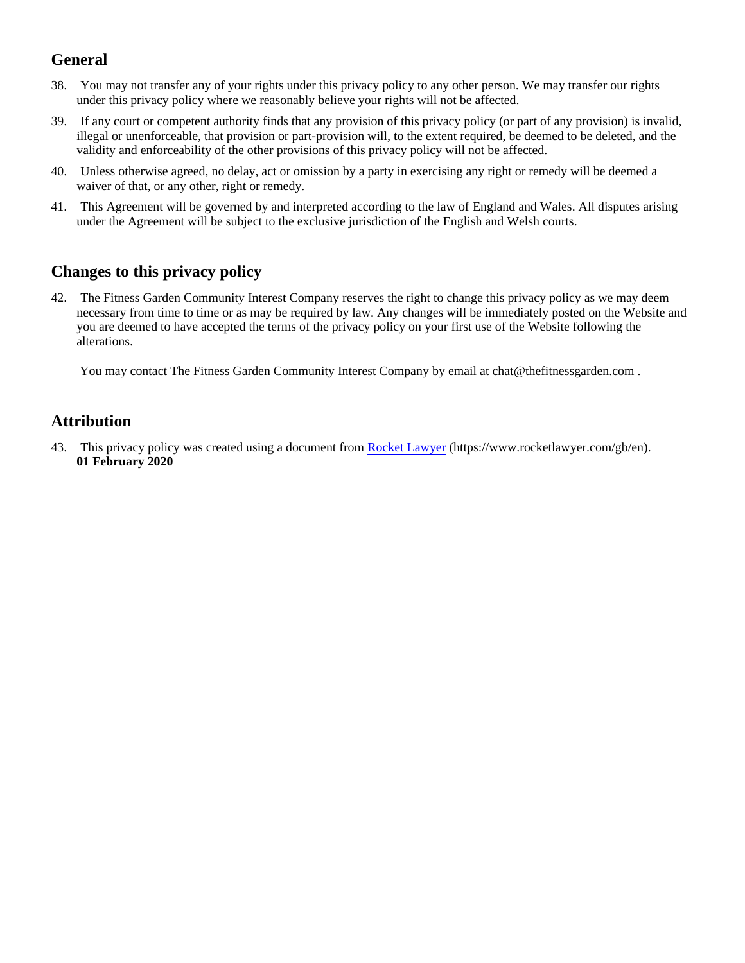# **General**

- 38. You may not transfer any of your rights under this privacy policy to any other person. We may transfer our rights under this privacy policy where we reasonably believe your rights will not be affected.
- 39. If any court or competent authority finds that any provision of this privacy policy (or part of any provision) is invalid, illegal or unenforceable, that provision or part-provision will, to the extent required, be deemed to be deleted, and the validity and enforceability of the other provisions of this privacy policy will not be affected.
- 40. Unless otherwise agreed, no delay, act or omission by a party in exercising any right or remedy will be deemed a waiver of that, or any other, right or remedy.
- 41. This Agreement will be governed by and interpreted according to the law of England and Wales. All disputes arising under the Agreement will be subject to the exclusive jurisdiction of the English and Welsh courts.

## **Changes to this privacy policy**

42. The Fitness Garden Community Interest Company reserves the right to change this privacy policy as we may deem necessary from time to time or as may be required by law. Any changes will be immediately posted on the Website and you are deemed to have accepted the terms of the privacy policy on your first use of the Website following the alterations.

You may contact The Fitness Garden Community Interest Company by email at chat@thefitnessgarden.com .

## **Attribution**

43. This privacy policy was created using a document from [Rocket Lawyer](https://www.rocketlawyer.com/gb/en/) (https://www.rocketlawyer.com/gb/en). **01 February 2020**